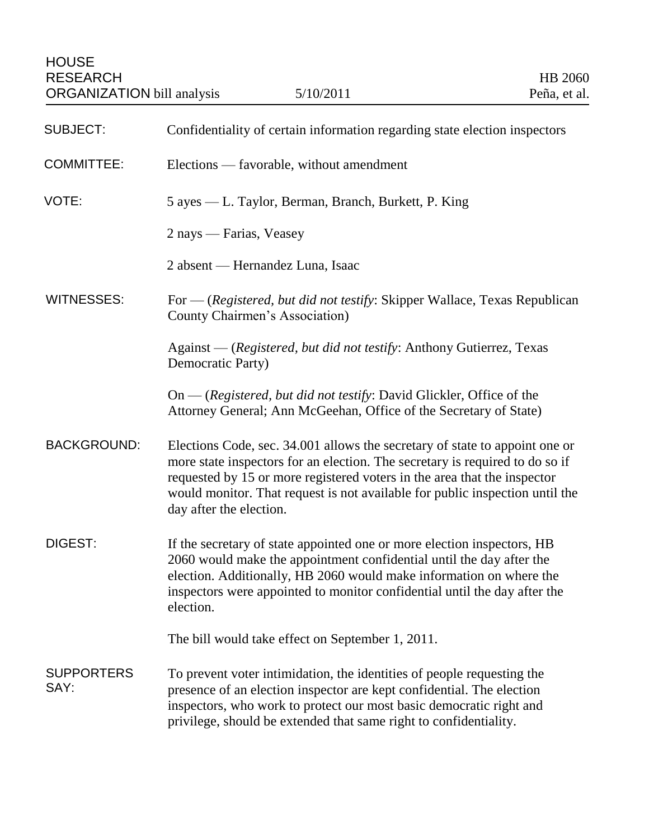| <b>SUBJECT:</b>           | Confidentiality of certain information regarding state election inspectors                                                                                                                                                                                                                                                                         |
|---------------------------|----------------------------------------------------------------------------------------------------------------------------------------------------------------------------------------------------------------------------------------------------------------------------------------------------------------------------------------------------|
| <b>COMMITTEE:</b>         | Elections — favorable, without amendment                                                                                                                                                                                                                                                                                                           |
| VOTE:                     | 5 ayes — L. Taylor, Berman, Branch, Burkett, P. King                                                                                                                                                                                                                                                                                               |
|                           | 2 nays — Farias, Veasey                                                                                                                                                                                                                                                                                                                            |
|                           | 2 absent — Hernandez Luna, Isaac                                                                                                                                                                                                                                                                                                                   |
| <b>WITNESSES:</b>         | For — (Registered, but did not testify: Skipper Wallace, Texas Republican<br>County Chairmen's Association)                                                                                                                                                                                                                                        |
|                           | Against — (Registered, but did not testify: Anthony Gutierrez, Texas<br>Democratic Party)                                                                                                                                                                                                                                                          |
|                           | $On - (registered, but did not testify: David Glickler, Office of the)$<br>Attorney General; Ann McGeehan, Office of the Secretary of State)                                                                                                                                                                                                       |
| <b>BACKGROUND:</b>        | Elections Code, sec. 34.001 allows the secretary of state to appoint one or<br>more state inspectors for an election. The secretary is required to do so if<br>requested by 15 or more registered voters in the area that the inspector<br>would monitor. That request is not available for public inspection until the<br>day after the election. |
| DIGEST:                   | If the secretary of state appointed one or more election inspectors, HB<br>2060 would make the appointment confidential until the day after the<br>election. Additionally, HB 2060 would make information on where the<br>inspectors were appointed to monitor confidential until the day after the<br>election.                                   |
|                           | The bill would take effect on September 1, 2011.                                                                                                                                                                                                                                                                                                   |
| <b>SUPPORTERS</b><br>SAY: | To prevent voter intimidation, the identities of people requesting the<br>presence of an election inspector are kept confidential. The election<br>inspectors, who work to protect our most basic democratic right and<br>privilege, should be extended that same right to confidentiality.                                                        |